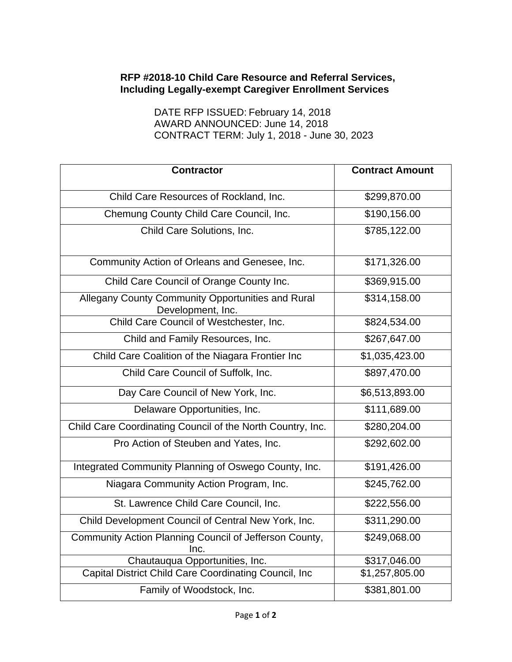## **RFP #2018-10 Child Care Resource and Referral Services, Including Legally-exempt Caregiver Enrollment Services**

DATE RFP ISSUED: February 14, 2018 AWARD ANNOUNCED: June 14, 2018 CONTRACT TERM: July 1, 2018 - June 30, 2023

| <b>Contractor</b>                                                      | <b>Contract Amount</b> |
|------------------------------------------------------------------------|------------------------|
| Child Care Resources of Rockland, Inc.                                 | \$299,870.00           |
| Chemung County Child Care Council, Inc.                                | \$190,156.00           |
| Child Care Solutions, Inc.                                             | \$785,122.00           |
| Community Action of Orleans and Genesee, Inc.                          | \$171,326.00           |
| Child Care Council of Orange County Inc.                               | \$369,915.00           |
| Allegany County Community Opportunities and Rural<br>Development, Inc. | \$314,158.00           |
| Child Care Council of Westchester, Inc.                                | \$824,534.00           |
| Child and Family Resources, Inc.                                       | \$267,647.00           |
| Child Care Coalition of the Niagara Frontier Inc                       | \$1,035,423.00         |
| Child Care Council of Suffolk, Inc.                                    | \$897,470.00           |
| Day Care Council of New York, Inc.                                     | \$6,513,893.00         |
| Delaware Opportunities, Inc.                                           | \$111,689.00           |
| Child Care Coordinating Council of the North Country, Inc.             | \$280,204.00           |
| Pro Action of Steuben and Yates, Inc.                                  | \$292,602.00           |
| Integrated Community Planning of Oswego County, Inc.                   | \$191,426.00           |
| Niagara Community Action Program, Inc.                                 | \$245,762.00           |
| St. Lawrence Child Care Council, Inc.                                  | \$222,556.00           |
| Child Development Council of Central New York, Inc.                    | \$311,290.00           |
| Community Action Planning Council of Jefferson County,<br>Inc.         | \$249,068.00           |
| Chautauqua Opportunities, Inc.                                         | \$317,046.00           |
| Capital District Child Care Coordinating Council, Inc                  | \$1,257,805.00         |
| Family of Woodstock, Inc.                                              | \$381,801.00           |